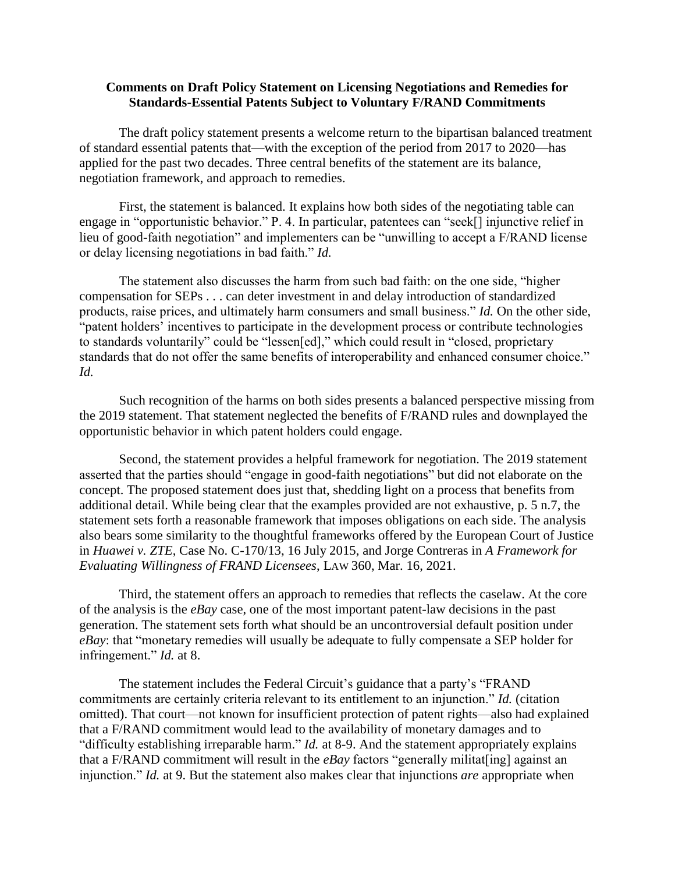## **Comments on Draft Policy Statement on Licensing Negotiations and Remedies for Standards-Essential Patents Subject to Voluntary F/RAND Commitments**

The draft policy statement presents a welcome return to the bipartisan balanced treatment of standard essential patents that—with the exception of the period from 2017 to 2020—has applied for the past two decades. Three central benefits of the statement are its balance, negotiation framework, and approach to remedies.

First, the statement is balanced. It explains how both sides of the negotiating table can engage in "opportunistic behavior." P. 4. In particular, patentees can "seek[] injunctive relief in lieu of good-faith negotiation" and implementers can be "unwilling to accept a F/RAND license or delay licensing negotiations in bad faith." *Id.*

The statement also discusses the harm from such bad faith: on the one side, "higher compensation for SEPs . . . can deter investment in and delay introduction of standardized products, raise prices, and ultimately harm consumers and small business." *Id.* On the other side, "patent holders' incentives to participate in the development process or contribute technologies to standards voluntarily" could be "lessen[ed]," which could result in "closed, proprietary standards that do not offer the same benefits of interoperability and enhanced consumer choice." *Id.*

Such recognition of the harms on both sides presents a balanced perspective missing from the 2019 statement. That statement neglected the benefits of F/RAND rules and downplayed the opportunistic behavior in which patent holders could engage.

Second, the statement provides a helpful framework for negotiation. The 2019 statement asserted that the parties should "engage in good-faith negotiations" but did not elaborate on the concept. The proposed statement does just that, shedding light on a process that benefits from additional detail. While being clear that the examples provided are not exhaustive, p. 5 n.7, the statement sets forth a reasonable framework that imposes obligations on each side. The analysis also bears some similarity to the thoughtful frameworks offered by the European Court of Justice in *Huawei v. ZTE*, Case No. C-170/13, 16 July 2015, and Jorge Contreras in *A Framework for Evaluating Willingness of FRAND Licensees*, LAW 360, Mar. 16, 2021.

Third, the statement offers an approach to remedies that reflects the caselaw. At the core of the analysis is the *eBay* case, one of the most important patent-law decisions in the past generation. The statement sets forth what should be an uncontroversial default position under *eBay*: that "monetary remedies will usually be adequate to fully compensate a SEP holder for infringement." *Id.* at 8.

The statement includes the Federal Circuit's guidance that a party's "FRAND commitments are certainly criteria relevant to its entitlement to an injunction." *Id.* (citation omitted). That court—not known for insufficient protection of patent rights—also had explained that a F/RAND commitment would lead to the availability of monetary damages and to "difficulty establishing irreparable harm." *Id.* at 8-9. And the statement appropriately explains that a F/RAND commitment will result in the *eBay* factors "generally militat[ing] against an injunction." *Id.* at 9. But the statement also makes clear that injunctions *are* appropriate when